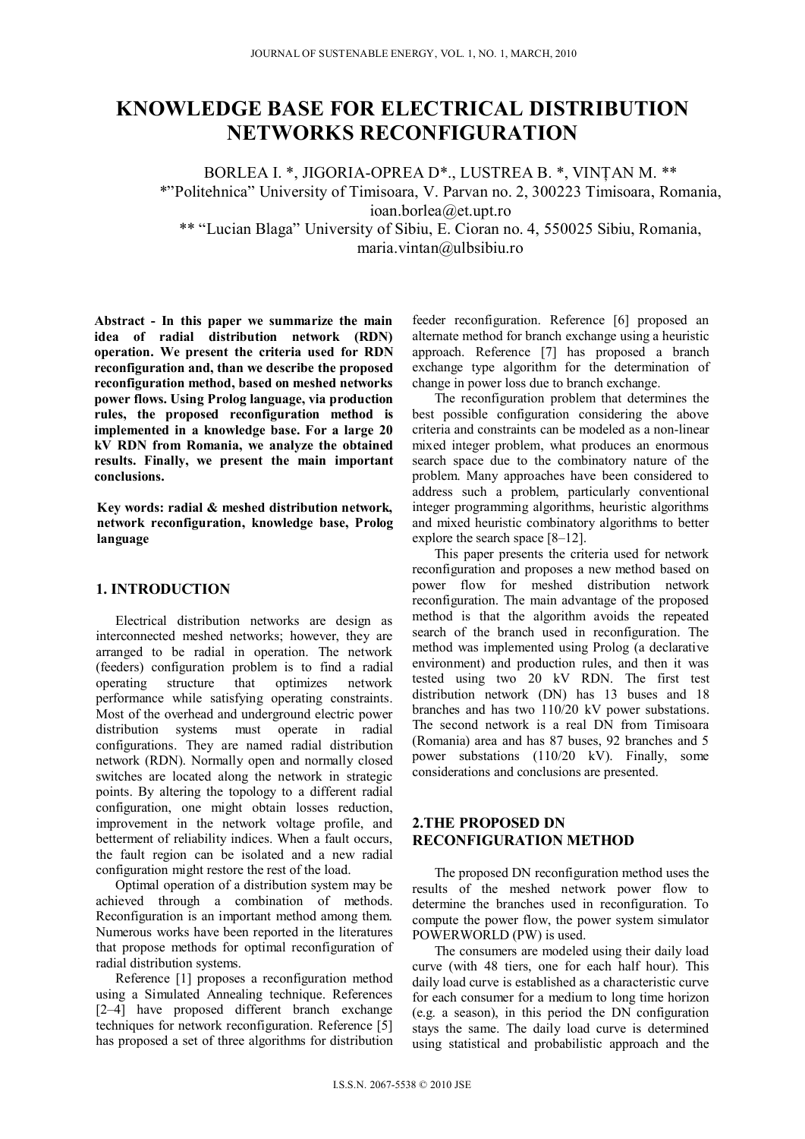# **KNOWLEDGE BASE FOR ELECTRICAL DISTRIBUTION NETWORKS RECONFIGURATION**

BORLEA I. \*, JIGORIA-OPREA D\*., LUSTREA B. \*, VINŢAN M. \*\* \*"Politehnica" University of Timisoara, V. Parvan no. 2, 300223 Timisoara, Romania, ioan.borlea@et.upt.ro \*\* "Lucian Blaga" University of Sibiu, E. Cioran no. 4, 550025 Sibiu, Romania,

maria.vintan@ulbsibiu.ro

**Abstract - In this paper we summarize the main idea of radial distribution network (RDN) operation. We present the criteria used for RDN reconfiguration and, than we describe the proposed reconfiguration method, based on meshed networks power flows. Using Prolog language, via production rules, the proposed reconfiguration method is implemented in a knowledge base. For a large 20 kV RDN from Romania, we analyze the obtained results. Finally, we present the main important conclusions.** 

**Key words: radial & meshed distribution network, network reconfiguration, knowledge base, Prolog language** 

## **1. INTRODUCTION**

Electrical distribution networks are design as interconnected meshed networks; however, they are arranged to be radial in operation. The network (feeders) configuration problem is to find a radial operating structure that optimizes network performance while satisfying operating constraints. Most of the overhead and underground electric power distribution systems must operate in radial configurations. They are named radial distribution network (RDN). Normally open and normally closed switches are located along the network in strategic points. By altering the topology to a different radial configuration, one might obtain losses reduction, improvement in the network voltage profile, and betterment of reliability indices. When a fault occurs, the fault region can be isolated and a new radial configuration might restore the rest of the load.

Optimal operation of a distribution system may be achieved through a combination of methods. Reconfiguration is an important method among them. Numerous works have been reported in the literatures that propose methods for optimal reconfiguration of radial distribution systems.

Reference [1] proposes a reconfiguration method using a Simulated Annealing technique. References [2–4] have proposed different branch exchange techniques for network reconfiguration. Reference [5] has proposed a set of three algorithms for distribution

feeder reconfiguration. Reference [6] proposed an alternate method for branch exchange using a heuristic approach. Reference [7] has proposed a branch exchange type algorithm for the determination of change in power loss due to branch exchange.

The reconfiguration problem that determines the best possible configuration considering the above criteria and constraints can be modeled as a non-linear mixed integer problem, what produces an enormous search space due to the combinatory nature of the problem. Many approaches have been considered to address such a problem, particularly conventional integer programming algorithms, heuristic algorithms and mixed heuristic combinatory algorithms to better explore the search space [8–12].

This paper presents the criteria used for network reconfiguration and proposes a new method based on power flow for meshed distribution network reconfiguration. The main advantage of the proposed method is that the algorithm avoids the repeated search of the branch used in reconfiguration. The method was implemented using Prolog (a declarative environment) and production rules, and then it was tested using two 20 kV RDN. The first test distribution network (DN) has 13 buses and 18 branches and has two 110/20 kV power substations. The second network is a real DN from Timisoara (Romania) area and has 87 buses, 92 branches and 5 power substations (110/20 kV). Finally, some considerations and conclusions are presented.

## **2.THE PROPOSED DN RECONFIGURATION METHOD**

The proposed DN reconfiguration method uses the results of the meshed network power flow to determine the branches used in reconfiguration. To compute the power flow, the power system simulator POWERWORLD (PW) is used.

The consumers are modeled using their daily load curve (with 48 tiers, one for each half hour). This daily load curve is established as a characteristic curve for each consumer for a medium to long time horizon (e.g. a season), in this period the DN configuration stays the same. The daily load curve is determined using statistical and probabilistic approach and the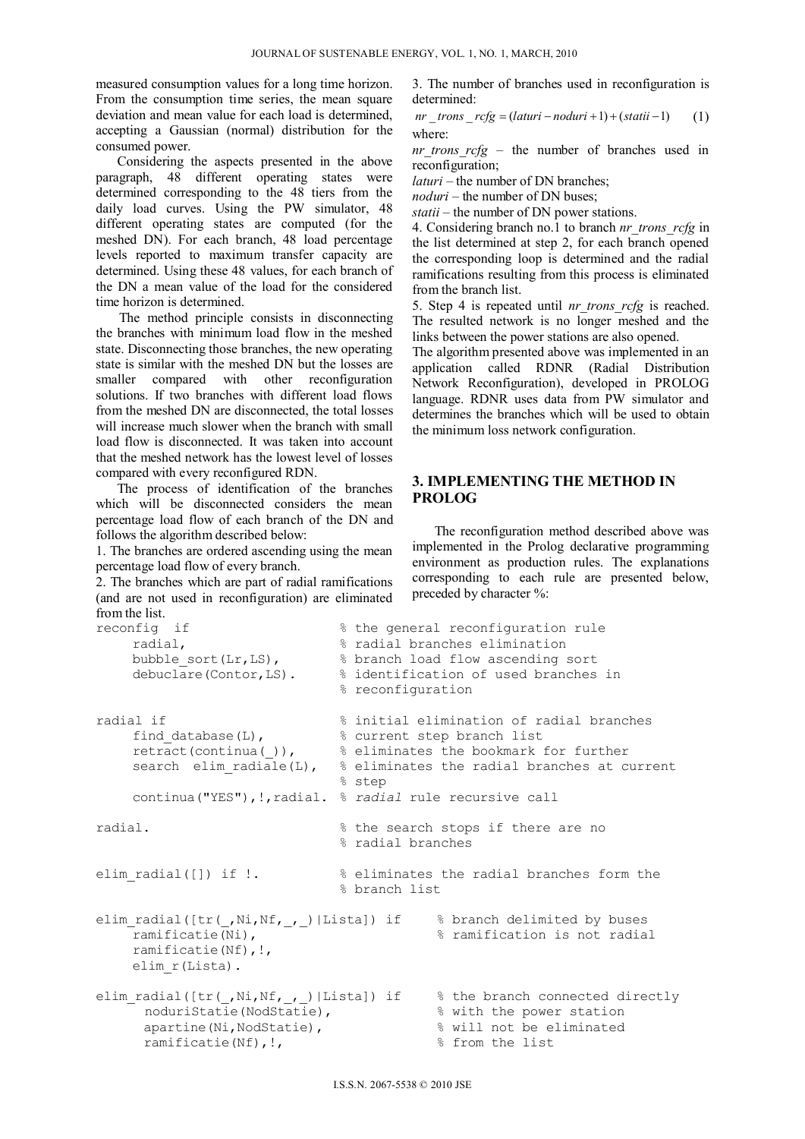measured consumption values for a long time horizon. From the consumption time series, the mean square deviation and mean value for each load is determined, accepting a Gaussian (normal) distribution for the consumed power.

Considering the aspects presented in the above paragraph, 48 different operating states were determined corresponding to the 48 tiers from the daily load curves. Using the PW simulator, 48 different operating states are computed (for the meshed DN). For each branch, 48 load percentage levels reported to maximum transfer capacity are determined. Using these 48 values, for each branch of the DN a mean value of the load for the considered time horizon is determined.

The method principle consists in disconnecting the branches with minimum load flow in the meshed state. Disconnecting those branches, the new operating state is similar with the meshed DN but the losses are smaller compared with other reconfiguration solutions. If two branches with different load flows from the meshed DN are disconnected, the total losses will increase much slower when the branch with small load flow is disconnected. It was taken into account that the meshed network has the lowest level of losses compared with every reconfigured RDN.

The process of identification of the branches which will be disconnected considers the mean percentage load flow of each branch of the DN and follows the algorithm described below:

1. The branches are ordered ascending using the mean percentage load flow of every branch.

2. The branches which are part of radial ramifications (and are not used in reconfiguration) are eliminated from the list.<br>reconfig if

3. The number of branches used in reconfiguration is determined:

*nr trons*  $rcfg = (laturi - noduri + 1) + (statii - 1)$  (1) where:

*nr* trons  $rcfg$  – the number of branches used in reconfiguration;

*laturi* – the number of DN branches;

*noduri* – the number of DN buses;

*statii* – the number of DN power stations.

4. Considering branch no.1 to branch *nr\_trons\_rcfg* in the list determined at step 2, for each branch opened the corresponding loop is determined and the radial ramifications resulting from this process is eliminated from the branch list.

5. Step 4 is repeated until *nr\_trons\_rcfg* is reached. The resulted network is no longer meshed and the links between the power stations are also opened.

The algorithm presented above was implemented in an application called RDNR (Radial Distribution Network Reconfiguration), developed in PROLOG language. RDNR uses data from PW simulator and determines the branches which will be used to obtain the minimum loss network configuration.

## **3. IMPLEMENTING THE METHOD IN PROLOG**

The reconfiguration method described above was implemented in the Prolog declarative programming environment as production rules. The explanations corresponding to each rule are presented below, preceded by character %:

```
% the general reconfiguration rule
      radial, % radial branches elimination 
     bubble sort(Lr,LS), \frac{1}{2} & branch load flow ascending sort
      debuclare(Contor,LS). % identification of used branches in 
                                    % reconfiguration 
radial if \longrightarrow $ initial elimination of radial branches
     find database(L), \frac{1}{2} & current step branch list
     retract(continua()), \frac{1}{8} eliminates the bookmark for further
     search elim radiale(L), \frac{1}{8} eliminates the radial branches at current
                                     % step 
      continua("YES"),!,radial. % radial rule recursive call 
radial. % the search stops if there are no 
                                     % radial branches 
elim radial([]) if !. \frac{1}{2} % eliminates the radial branches form the
                                    % branch list 
elim_radial([tr(_,Ni,Nf,_,_)|Lista]) if % branch delimited by buses
     ramificatie(Ni), \frac{1}{2} \frac{1}{2} \frac{1}{2} \frac{1}{2} \frac{1}{2} \frac{1}{2} \frac{1}{2} \frac{1}{2} \frac{1}{2} \frac{1}{2} \frac{1}{2} \frac{1}{2} \frac{1}{2} \frac{1}{2} \frac{1}{2} \frac{1}{2} \frac{1}{2} \frac{1}{2} \frac{1}{2} \frac{1}{2} \frac{1 ramificatie(Nf),!, 
      elim_r(Lista). 
elim_radial([tr(\_,Ni,Nf,\_,\_)]|Lista]) if % the branch connected directly
       noduriStatie(NodStatie), \frac{1}{8} with the power station
       apartine(Ni, NodStatie), \frac{1}{2} will not be eliminated
       ramificatie(Nf), !, \frac{1}{3} from the list
```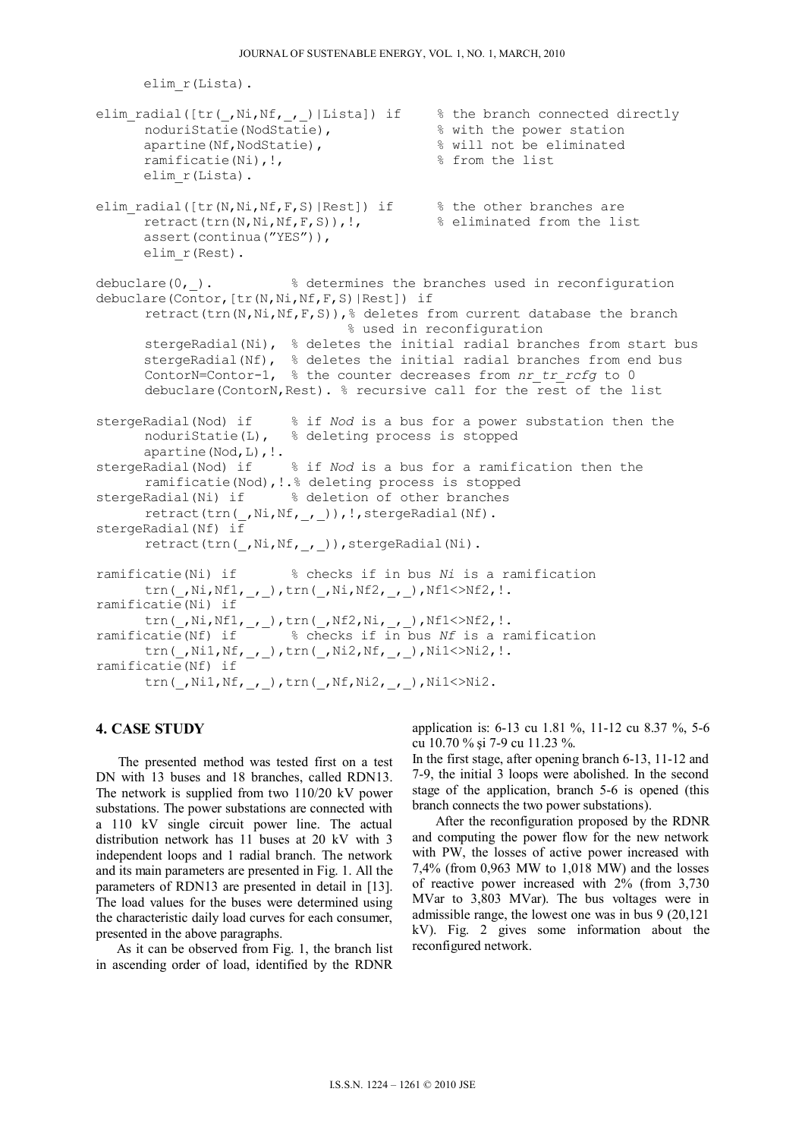```
elim_r(Lista). 
elim_radial([tr(_,Ni,Nf,_,_)|Lista]) if % the branch connected directly
       \frac{1}{2} noduriStatie(NodStatie), \frac{1}{2} \frac{1}{2} \frac{1}{2} \frac{1}{2} \frac{1}{2} \frac{1}{2} \frac{1}{2} \frac{1}{2} \frac{1}{2} \frac{1}{2} \frac{1}{2} \frac{1}{2} \frac{1}{2} \frac{1}{2} \frac{1}{2} \frac{1}{2} \frac{1}{2} \frac{1}{2} \frac{1}{apartine(Nf,NodStatie), \frac{1}{2} will not be eliminated
       ramificatie(Ni), !, \frac{1}{2} is the list
        elim_r(Lista). 
elim_radial([tr(N,Ni,Nf,F,S)|Rest]) if % the other branches are
        retract(trn(N,Ni,Nf,F,S)),!, % eliminated from the list 
       assert(continua("YES")), 
       elim_r(Rest). 
debuclare(0,). \frac{1}{2} determines the branches used in reconfiguration
debuclare(Contor, [tr(N,Ni,Nf,F,S)|Rest]) if
        retract(trn(N,Ni,Nf,F,S)),% deletes from current database the branch 
                                       % used in reconfiguration 
       stergeRadial(Ni), % deletes the initial radial branches from start bus
       stergeRadial(Nf), % deletes the initial radial branches from end bus
       ContorN=Contor-1, % the counter decreases from nr tr rcfg to 0
        debuclare(ContorN,Rest). % recursive call for the rest of the list 
stergeRadial(Nod) if % if Nod is a bus for a power substation then the 
        noduriStatie(L), % deleting process is stopped 
       apartine(Nod, L), !.
stergeRadial(Nod) if % if Nod is a bus for a ramification then the 
        ramificatie(Nod),!.% deleting process is stopped 
stergeRadial(Ni) if % deletion of other branches
       retract(trn(_,Ni,Nf,_,_)), !, stergeRadial(Nf).
stergeRadial(Nf) i\bar{f}retract(trn(_,Ni,Nf,_,_)),stergeRadial(Ni).
ramificatie(Ni) if % checks if in bus Ni is a ramification 
       \texttt{trn}(\_,\texttt{Ni},\texttt{Nf1},\_,\_), \texttt{trn}(\_,\texttt{Ni},\texttt{Nf2},\_,\_), \texttt{Nf1}>>\texttt{Nf2}, ! .
ramificatie(Ni) if 
       \texttt{trn}(\_,\texttt{Ni},\texttt{Nf1},\_,\_) , \texttt{trn}(\_,\texttt{Nf2},\texttt{Ni},\_,\_) , \texttt{Nf1}(\gt)\texttt{Nf2}, ! .
ramificatie(Nf) if % checks if in bus Nf is a ramification 
trn( ,Ni1,Nf, , ),trn( ,Ni2,Nf, , ),Ni1<>Ni2,!.
ramificatie(Nf) if 
       trn(,Ni1,Nf,,),trn(,Nf,Ni2,,),Ni1<>Ni2.
```
#### **4. CASE STUDY**

The presented method was tested first on a test DN with 13 buses and 18 branches, called RDN13. The network is supplied from two 110/20 kV power substations. The power substations are connected with a 110 kV single circuit power line. The actual distribution network has 11 buses at 20 kV with 3 independent loops and 1 radial branch. The network and its main parameters are presented in Fig. 1. All the parameters of RDN13 are presented in detail in [13]. The load values for the buses were determined using the characteristic daily load curves for each consumer, presented in the above paragraphs.

As it can be observed from Fig. 1, the branch list in ascending order of load, identified by the RDNR application is: 6-13 cu 1.81 %, 11-12 cu 8.37 %, 5-6 cu 10.70 % şi 7-9 cu 11.23 %.

In the first stage, after opening branch 6-13, 11-12 and 7-9, the initial 3 loops were abolished. In the second stage of the application, branch 5-6 is opened (this branch connects the two power substations).

After the reconfiguration proposed by the RDNR and computing the power flow for the new network with PW, the losses of active power increased with 7,4% (from 0,963 MW to 1,018 MW) and the losses of reactive power increased with 2% (from 3,730 MVar to 3,803 MVar). The bus voltages were in admissible range, the lowest one was in bus 9 (20,121 kV). Fig. 2 gives some information about the reconfigured network.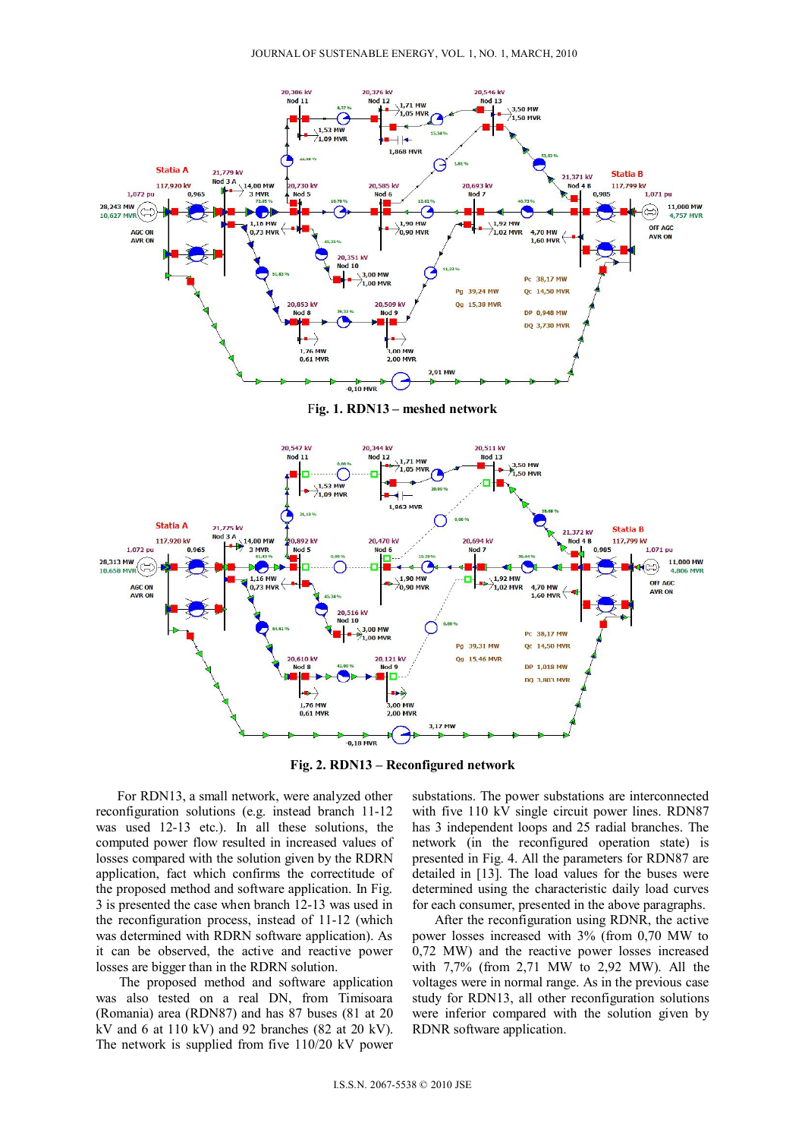

F**ig. 1. RDN13 – meshed network** 



**Fig. 2. RDN13 – Reconfigured network** 

For RDN13, a small network, were analyzed other reconfiguration solutions (e.g. instead branch 11-12 was used 12-13 etc.). In all these solutions, the computed power flow resulted in increased values of losses compared with the solution given by the RDRN application, fact which confirms the correctitude of the proposed method and software application. In Fig. 3 is presented the case when branch 12-13 was used in the reconfiguration process, instead of 11-12 (which was determined with RDRN software application). As it can be observed, the active and reactive power losses are bigger than in the RDRN solution.

The proposed method and software application was also tested on a real DN, from Timisoara (Romania) area (RDN87) and has 87 buses (81 at 20 kV and 6 at 110 kV) and 92 branches  $(82 \text{ at } 20 \text{ kV})$ . The network is supplied from five 110/20 kV power

substations. The power substations are interconnected with five 110 kV single circuit power lines. RDN87 has 3 independent loops and 25 radial branches. The network (in the reconfigured operation state) is presented in Fig. 4. All the parameters for RDN87 are detailed in [13]. The load values for the buses were determined using the characteristic daily load curves for each consumer, presented in the above paragraphs.

After the reconfiguration using RDNR, the active power losses increased with 3% (from 0,70 MW to 0,72 MW) and the reactive power losses increased with 7,7% (from 2,71 MW to 2,92 MW). All the voltages were in normal range. As in the previous case study for RDN13, all other reconfiguration solutions were inferior compared with the solution given by RDNR software application.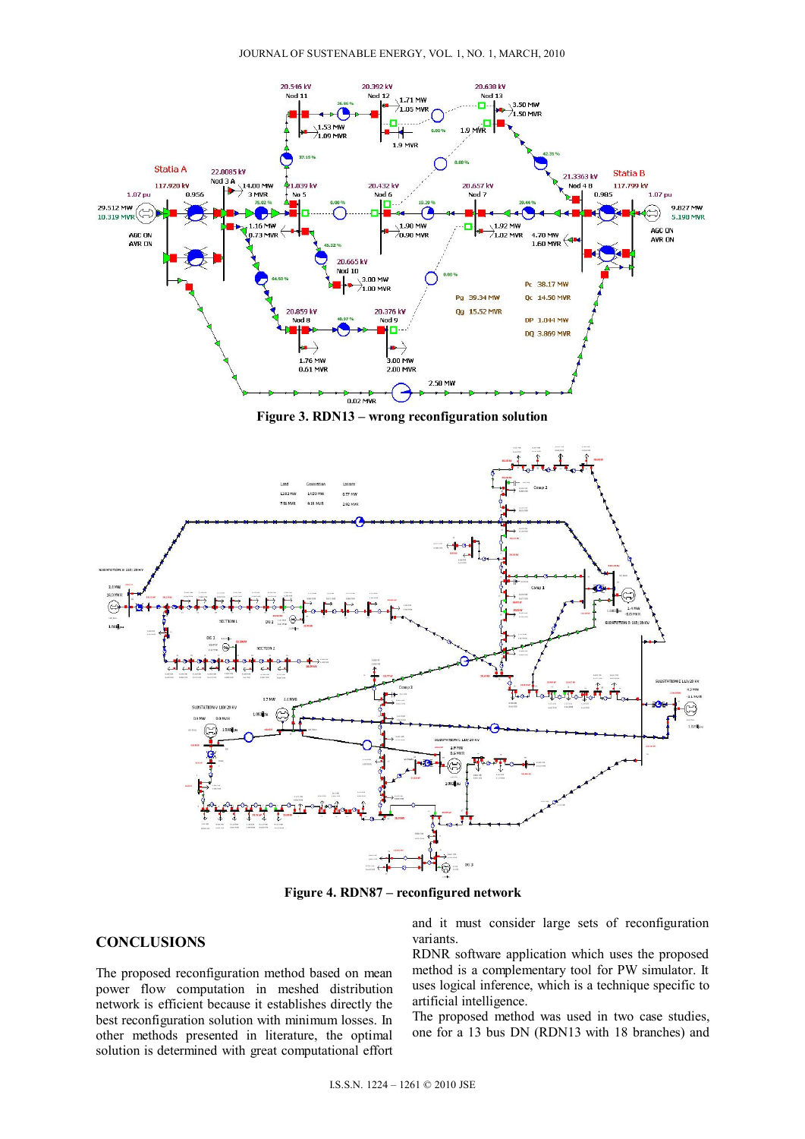

**Figure 3. RDN13 – wrong reconfiguration solution** 



**Figure 4. RDN87 – reconfigured network** 

## **CONCLUSIONS**

The proposed reconfiguration method based on mean power flow computation in meshed distribution network is efficient because it establishes directly the best reconfiguration solution with minimum losses. In other methods presented in literature, the optimal solution is determined with great computational effort and it must consider large sets of reconfiguration variants.

RDNR software application which uses the proposed method is a complementary tool for PW simulator. It uses logical inference, which is a technique specific to artificial intelligence.

The proposed method was used in two case studies, one for a 13 bus DN (RDN13 with 18 branches) and